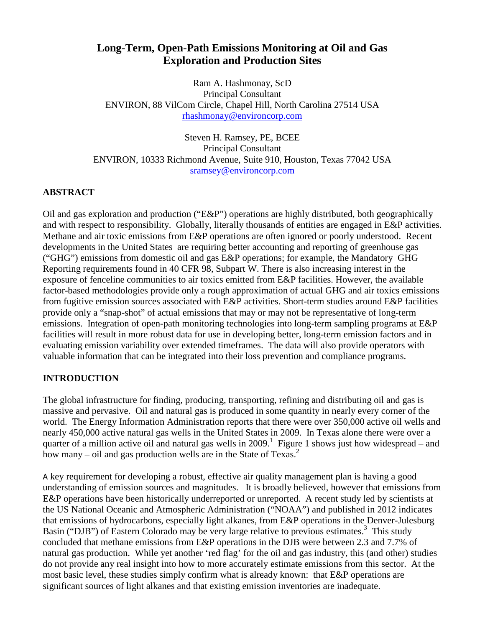# **Long-Term, Open-Path Emissions Monitoring at Oil and Gas Exploration and Production Sites**

Ram A. Hashmonay, ScD Principal Consultant ENVIRON, 88 VilCom Circle, Chapel Hill, North Carolina 27514 USA [rhashmonay@environcorp.com](mailto:rhashmonay@environcorp.com)

Steven H. Ramsey, PE, BCEE Principal Consultant ENVIRON, 10333 Richmond Avenue, Suite 910, Houston, Texas 77042 USA [sramsey@environcorp.com](mailto:sramsey@environcorp.com)

## **ABSTRACT**

Oil and gas exploration and production ("E&P") operations are highly distributed, both geographically and with respect to responsibility. Globally, literally thousands of entities are engaged in E&P activities. Methane and air toxic emissions from E&P operations are often ignored or poorly understood. Recent developments in the United States are requiring better accounting and reporting of greenhouse gas ("GHG") emissions from domestic oil and gas E&P operations; for example, the Mandatory GHG Reporting requirements found in 40 CFR 98, Subpart W. There is also increasing interest in the exposure of fenceline communities to air toxics emitted from E&P facilities. However, the available factor-based methodologies provide only a rough approximation of actual GHG and air toxics emissions from fugitive emission sources associated with E&P activities. Short-term studies around E&P facilities provide only a "snap-shot" of actual emissions that may or may not be representative of long-term emissions. Integration of open-path monitoring technologies into long-term sampling programs at E&P facilities will result in more robust data for use in developing better, long-term emission factors and in evaluating emission variability over extended timeframes. The data will also provide operators with valuable information that can be integrated into their loss prevention and compliance programs.

## **INTRODUCTION**

The global infrastructure for finding, producing, transporting, refining and distributing oil and gas is massive and pervasive. Oil and natural gas is produced in some quantity in nearly every corner of the world. The Energy Information Administration reports that there were over 350,000 active oil wells and nearly 450,000 active natural gas wells in the United States in 2009. In Texas alone there were over a quarter of a million active oil and natural gas wells in  $2009$ .<sup>1</sup> Figure 1 shows just how widespread – and how many – oil and gas production wells are in the State of Texas. $2$ 

A key requirement for developing a robust, effective air quality management plan is having a good understanding of emission sources and magnitudes. It is broadly believed, however that emissions from E&P operations have been historically underreported or unreported. A recent study led by scientists at the US National Oceanic and Atmospheric Administration ("NOAA") and published in 2012 indicates that emissions of hydrocarbons, especially light alkanes, from E&P operations in the Denver-Julesburg Basin ("DJB") of Eastern Colorado may be very large relative to previous estimates.<sup>3</sup> This study concluded that methane emissions from E&P operations in the DJB were between 2.3 and 7.7% of natural gas production. While yet another 'red flag' for the oil and gas industry, this (and other) studies do not provide any real insight into how to more accurately estimate emissions from this sector. At the most basic level, these studies simply confirm what is already known: that E&P operations are significant sources of light alkanes and that existing emission inventories are inadequate.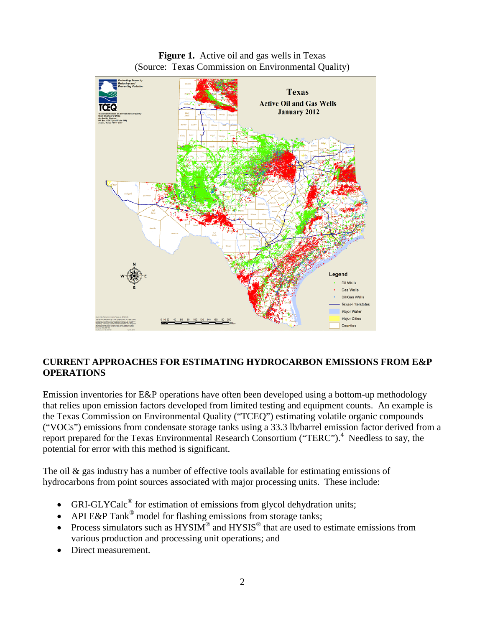

**Figure 1.** Active oil and gas wells in Texas (Source: Texas Commission on Environmental Quality)

# **CURRENT APPROACHES FOR ESTIMATING HYDROCARBON EMISSIONS FROM E&P OPERATIONS**

Emission inventories for E&P operations have often been developed using a bottom-up methodology that relies upon emission factors developed from limited testing and equipment counts. An example is the Texas Commission on Environmental Quality ("TCEQ") estimating volatile organic compounds ("VOCs") emissions from condensate storage tanks using a 33.3 lb/barrel emission factor derived from a report prepared for the Texas Environmental Research Consortium ("TERC").<sup>4</sup> Needless to say, the potential for error with this method is significant.

The oil  $\&$  gas industry has a number of effective tools available for estimating emissions of hydrocarbons from point sources associated with major processing units. These include:

- GRI-GLYCal $c^{\circledast}$  for estimation of emissions from glycol dehydration units;
- API E&P Tank<sup>®</sup> model for flashing emissions from storage tanks;
- Process simulators such as  $HYSIM^{\circledcirc}$  and  $HYSIS^{\circledcirc}$  that are used to estimate emissions from various production and processing unit operations; and
- Direct measurement.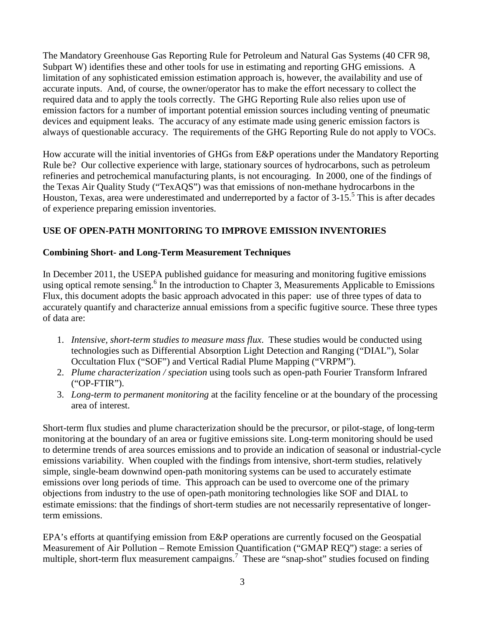The Mandatory Greenhouse Gas Reporting Rule for Petroleum and Natural Gas Systems (40 CFR 98, Subpart W) identifies these and other tools for use in estimating and reporting GHG emissions. A limitation of any sophisticated emission estimation approach is, however, the availability and use of accurate inputs. And, of course, the owner/operator has to make the effort necessary to collect the required data and to apply the tools correctly. The GHG Reporting Rule also relies upon use of emission factors for a number of important potential emission sources including venting of pneumatic devices and equipment leaks. The accuracy of any estimate made using generic emission factors is always of questionable accuracy. The requirements of the GHG Reporting Rule do not apply to VOCs.

How accurate will the initial inventories of GHGs from E&P operations under the Mandatory Reporting Rule be? Our collective experience with large, stationary sources of hydrocarbons, such as petroleum refineries and petrochemical manufacturing plants, is not encouraging. In 2000, one of the findings of the Texas Air Quality Study ("TexAQS") was that emissions of non-methane hydrocarbons in the Houston, Texas, area were underestimated and underreported by a factor of 3-15.<sup>5</sup> This is after decades of experience preparing emission inventories.

## **USE OF OPEN-PATH MONITORING TO IMPROVE EMISSION INVENTORIES**

### **Combining Short- and Long-Term Measurement Techniques**

In December 2011, the USEPA published guidance for measuring and monitoring fugitive emissions using optical remote sensing.<sup>6</sup> In the introduction to Chapter 3, Measurements Applicable to Emissions Flux, this document adopts the basic approach advocated in this paper: use of three types of data to accurately quantify and characterize annual emissions from a specific fugitive source. These three types of data are:

- 1. *Intensive, short-term studies to measure mass flux*. These studies would be conducted using technologies such as Differential Absorption Light Detection and Ranging ("DIAL"), Solar Occultation Flux ("SOF") and Vertical Radial Plume Mapping ("VRPM").
- 2. *Plume characterization / speciation* using tools such as open-path Fourier Transform Infrared ("OP-FTIR").
- 3. *Long-term to permanent monitoring* at the facility fenceline or at the boundary of the processing area of interest.

Short-term flux studies and plume characterization should be the precursor, or pilot-stage, of long-term monitoring at the boundary of an area or fugitive emissions site. Long-term monitoring should be used to determine trends of area sources emissions and to provide an indication of seasonal or industrial-cycle emissions variability. When coupled with the findings from intensive, short-term studies, relatively simple, single-beam downwind open-path monitoring systems can be used to accurately estimate emissions over long periods of time. This approach can be used to overcome one of the primary objections from industry to the use of open-path monitoring technologies like SOF and DIAL to estimate emissions: that the findings of short-term studies are not necessarily representative of longerterm emissions.

EPA's efforts at quantifying emission from E&P operations are currently focused on the Geospatial Measurement of Air Pollution – Remote Emission Quantification ("GMAP REQ") stage: a series of multiple, short-term flux measurement campaigns.<sup>7</sup> These are "snap-shot" studies focused on finding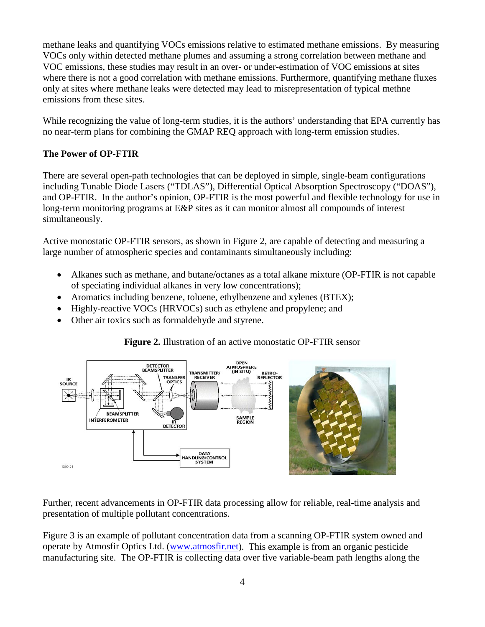methane leaks and quantifying VOCs emissions relative to estimated methane emissions. By measuring VOCs only within detected methane plumes and assuming a strong correlation between methane and VOC emissions, these studies may result in an over- or under-estimation of VOC emissions at sites where there is not a good correlation with methane emissions. Furthermore, quantifying methane fluxes only at sites where methane leaks were detected may lead to misrepresentation of typical methne emissions from these sites.

While recognizing the value of long-term studies, it is the authors' understanding that EPA currently has no near-term plans for combining the GMAP REQ approach with long-term emission studies.

## **The Power of OP-FTIR**

There are several open-path technologies that can be deployed in simple, single-beam configurations including Tunable Diode Lasers ("TDLAS"), Differential Optical Absorption Spectroscopy ("DOAS"), and OP-FTIR. In the author's opinion, OP-FTIR is the most powerful and flexible technology for use in long-term monitoring programs at E&P sites as it can monitor almost all compounds of interest simultaneously.

Active monostatic OP-FTIR sensors, as shown in Figure 2, are capable of detecting and measuring a large number of atmospheric species and contaminants simultaneously including:

- Alkanes such as methane, and butane/octanes as a total alkane mixture (OP-FTIR is not capable of speciating individual alkanes in very low concentrations);
- Aromatics including benzene, toluene, ethylbenzene and xylenes (BTEX);
- Highly-reactive VOCs (HRVOCs) such as ethylene and propylene; and
- Other air toxics such as formaldehyde and styrene.

## **Figure 2.** Illustration of an active monostatic OP-FTIR sensor



Further, recent advancements in OP-FTIR data processing allow for reliable, real-time analysis and presentation of multiple pollutant concentrations.

Figure 3 is an example of pollutant concentration data from a scanning OP-FTIR system owned and operate by Atmosfir Optics Ltd. [\(www.atmosfir.net\)](http://www.atmosfir.net/). This example is from an organic pesticide manufacturing site. The OP-FTIR is collecting data over five variable-beam path lengths along the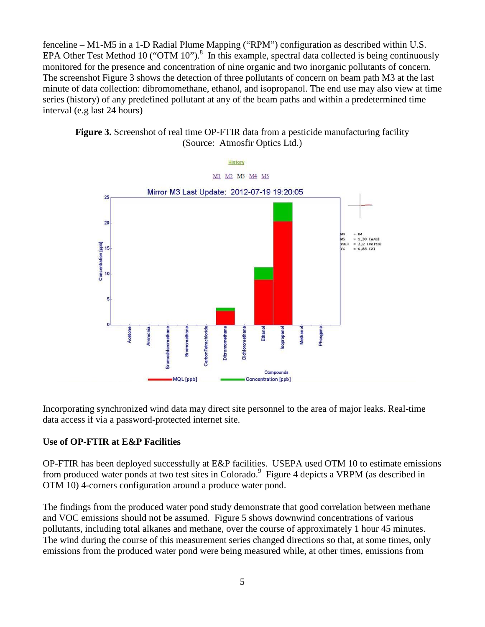fenceline – M1-M5 in a 1-D Radial Plume Mapping ("RPM") configuration as described within U.S. EPA Other Test Method 10 ("OTM 10").<sup>8</sup> In this example, spectral data collected is being continuously monitored for the presence and concentration of nine organic and two inorganic pollutants of concern. The screenshot Figure 3 shows the detection of three pollutants of concern on beam path M3 at the last minute of data collection: dibromomethane, ethanol, and isopropanol. The end use may also view at time series (history) of any predefined pollutant at any of the beam paths and within a predetermined time interval (e.g last 24 hours)





Incorporating synchronized wind data may direct site personnel to the area of major leaks. Real-time data access if via a password-protected internet site.

### **Use of OP-FTIR at E&P Facilities**

OP-FTIR has been deployed successfully at E&P facilities. USEPA used OTM 10 to estimate emissions from produced water ponds at two test sites in Colorado.<sup>9</sup> Figure 4 depicts a VRPM (as described in OTM 10) 4-corners configuration around a produce water pond.

The findings from the produced water pond study demonstrate that good correlation between methane and VOC emissions should not be assumed. Figure 5 shows downwind concentrations of various pollutants, including total alkanes and methane, over the course of approximately 1 hour 45 minutes. The wind during the course of this measurement series changed directions so that, at some times, only emissions from the produced water pond were being measured while, at other times, emissions from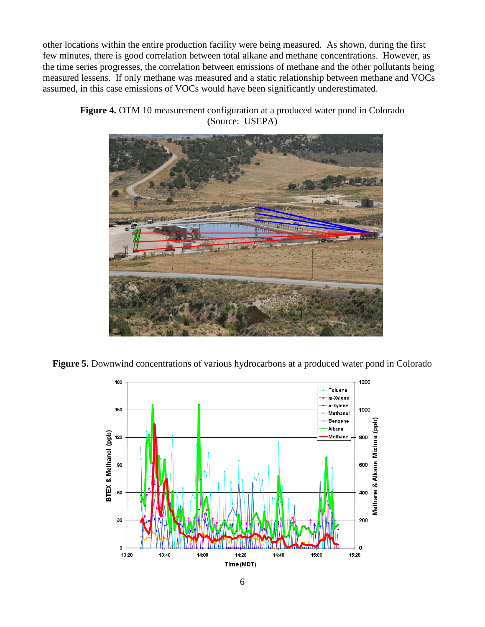other locations within the entire production facility were being measured. As shown, during the first few minutes, there is good correlation between total alkane and methane concentrations. However, as the time series progresses, the correlation between emissions of methane and the other pollutants being measured lessens. If only methane was measured and a static relationship between methane and VOCs assumed, in this case emissions of VOCs would have been significantly underestimated.

**Figure 4.** OTM 10 measurement configuration at a produced water pond in Colorado (Source: USEPA)



**Figure 5.** Downwind concentrations of various hydrocarbons at a produced water pond in Colorado

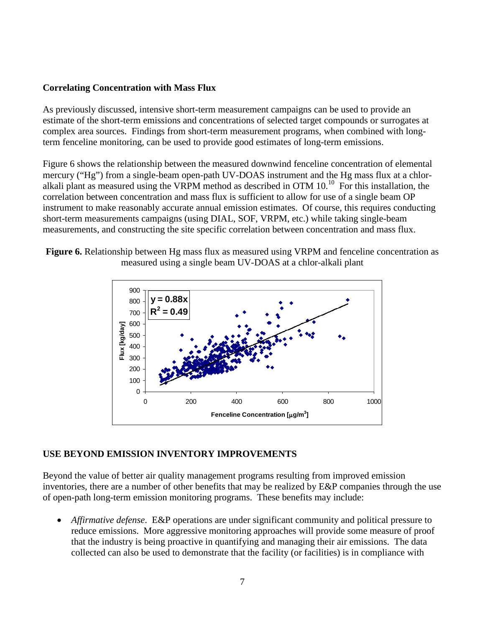### **Correlating Concentration with Mass Flux**

As previously discussed, intensive short-term measurement campaigns can be used to provide an estimate of the short-term emissions and concentrations of selected target compounds or surrogates at complex area sources. Findings from short-term measurement programs, when combined with longterm fenceline monitoring, can be used to provide good estimates of long-term emissions.

Figure 6 shows the relationship between the measured downwind fenceline concentration of elemental mercury ("Hg") from a single-beam open-path UV-DOAS instrument and the Hg mass flux at a chloralkali plant as measured using the VRPM method as described in OTM  $10^{10}$  For this installation, the correlation between concentration and mass flux is sufficient to allow for use of a single beam OP instrument to make reasonably accurate annual emission estimates. Of course, this requires conducting short-term measurements campaigns (using DIAL, SOF, VRPM, etc.) while taking single-beam measurements, and constructing the site specific correlation between concentration and mass flux.





#### **USE BEYOND EMISSION INVENTORY IMPROVEMENTS**

Beyond the value of better air quality management programs resulting from improved emission inventories, there are a number of other benefits that may be realized by E&P companies through the use of open-path long-term emission monitoring programs. These benefits may include:

• *Affirmative defense*. E&P operations are under significant community and political pressure to reduce emissions. More aggressive monitoring approaches will provide some measure of proof that the industry is being proactive in quantifying and managing their air emissions. The data collected can also be used to demonstrate that the facility (or facilities) is in compliance with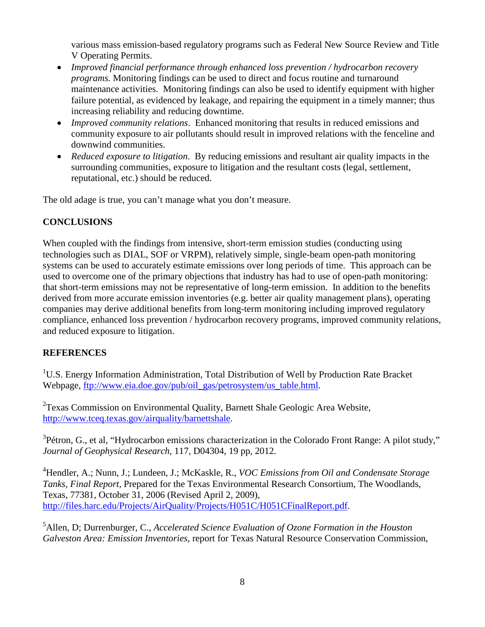various mass emission-based regulatory programs such as Federal New Source Review and Title V Operating Permits.

- *Improved financial performance through enhanced loss prevention / hydrocarbon recovery programs.* Monitoring findings can be used to direct and focus routine and turnaround maintenance activities. Monitoring findings can also be used to identify equipment with higher failure potential, as evidenced by leakage, and repairing the equipment in a timely manner; thus increasing reliability and reducing downtime.
- *Improved community relations*. Enhanced monitoring that results in reduced emissions and community exposure to air pollutants should result in improved relations with the fenceline and downwind communities.
- *Reduced exposure to litigation*. By reducing emissions and resultant air quality impacts in the surrounding communities, exposure to litigation and the resultant costs (legal, settlement, reputational, etc.) should be reduced.

The old adage is true, you can't manage what you don't measure.

# **CONCLUSIONS**

When coupled with the findings from intensive, short-term emission studies (conducting using technologies such as DIAL, SOF or VRPM), relatively simple, single-beam open-path monitoring systems can be used to accurately estimate emissions over long periods of time. This approach can be used to overcome one of the primary objections that industry has had to use of open-path monitoring: that short-term emissions may not be representative of long-term emission. In addition to the benefits derived from more accurate emission inventories (e.g. better air quality management plans), operating companies may derive additional benefits from long-term monitoring including improved regulatory compliance, enhanced loss prevention / hydrocarbon recovery programs, improved community relations, and reduced exposure to litigation.

## **REFERENCES**

<sup>1</sup>U.S. Energy Information Administration, Total Distribution of Well by Production Rate Bracket Webpage, [ftp://www.eia.doe.gov/pub/oil\\_gas/petrosystem/us\\_table.html.](ftp://www.eia.doe.gov/pub/oil_gas/petrosystem/us_table.html)

<sup>2</sup>Texas Commission on Environmental Quality, Barnett Shale Geologic Area Website, [http://www.tceq.texas.gov/airquality/barnettshale.](http://www.tceq.texas.gov/airquality/barnettshale)

 $3$ Pétron, G., et al, "Hydrocarbon emissions characterization in the Colorado Front Range: A pilot study," *Journal of Geophysical Research,* 117, D04304, 19 pp, 2012.

4 Hendler, A.; Nunn, J.; Lundeen, J.; McKaskle, R., *VOC Emissions from Oil and Condensate Storage Tanks, Final Report*, Prepared for the Texas Environmental Research Consortium, The Woodlands, Texas, 77381, October 31, 2006 (Revised April 2, 2009), [http://files.harc.edu/Projects/AirQuality/Projects/H051C/H051CFinalReport.pdf.](http://files.harc.edu/Projects/AirQuality/Projects/H051C/H051CFinalReport.pdf)

<sup>5</sup> Allen, D; Durrenburger, C., *Accelerated Science Evaluation of Ozone Formation in the Houston Galveston Area: Emission Inventories*, report for Texas Natural Resource Conservation Commission,